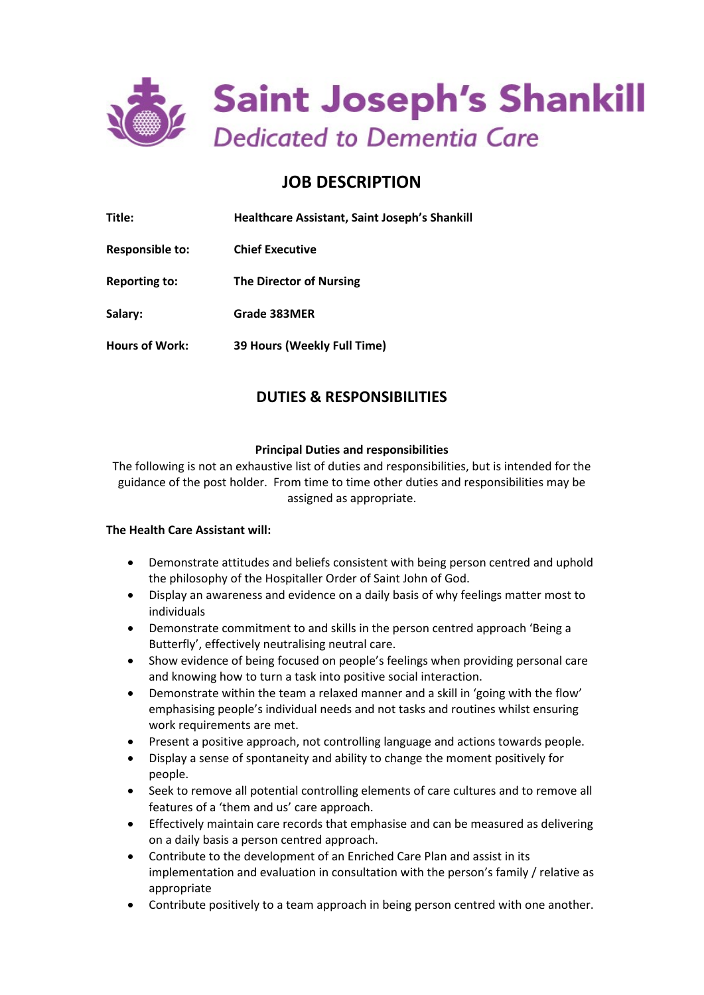

# **JOB DESCRIPTION**

| Title:                | <b>Healthcare Assistant, Saint Joseph's Shankill</b> |
|-----------------------|------------------------------------------------------|
| Responsible to:       | <b>Chief Executive</b>                               |
| <b>Reporting to:</b>  | <b>The Director of Nursing</b>                       |
| Salary:               | Grade 383MER                                         |
| <b>Hours of Work:</b> | 39 Hours (Weekly Full Time)                          |

# **DUTIES & RESPONSIBILITIES**

# **Principal Duties and responsibilities**

The following is not an exhaustive list of duties and responsibilities, but is intended for the guidance of the post holder. From time to time other duties and responsibilities may be assigned as appropriate.

### **The Health Care Assistant will:**

- Demonstrate attitudes and beliefs consistent with being person centred and uphold the philosophy of the Hospitaller Order of Saint John of God.
- Display an awareness and evidence on a daily basis of why feelings matter most to individuals
- Demonstrate commitment to and skills in the person centred approach 'Being a Butterfly', effectively neutralising neutral care.
- Show evidence of being focused on people's feelings when providing personal care and knowing how to turn a task into positive social interaction.
- Demonstrate within the team a relaxed manner and a skill in 'going with the flow' emphasising people's individual needs and not tasks and routines whilst ensuring work requirements are met.
- Present a positive approach, not controlling language and actions towards people.
- Display a sense of spontaneity and ability to change the moment positively for people.
- Seek to remove all potential controlling elements of care cultures and to remove all features of a 'them and us' care approach.
- Effectively maintain care records that emphasise and can be measured as delivering on a daily basis a person centred approach.
- Contribute to the development of an Enriched Care Plan and assist in its implementation and evaluation in consultation with the person's family / relative as appropriate
- Contribute positively to a team approach in being person centred with one another.